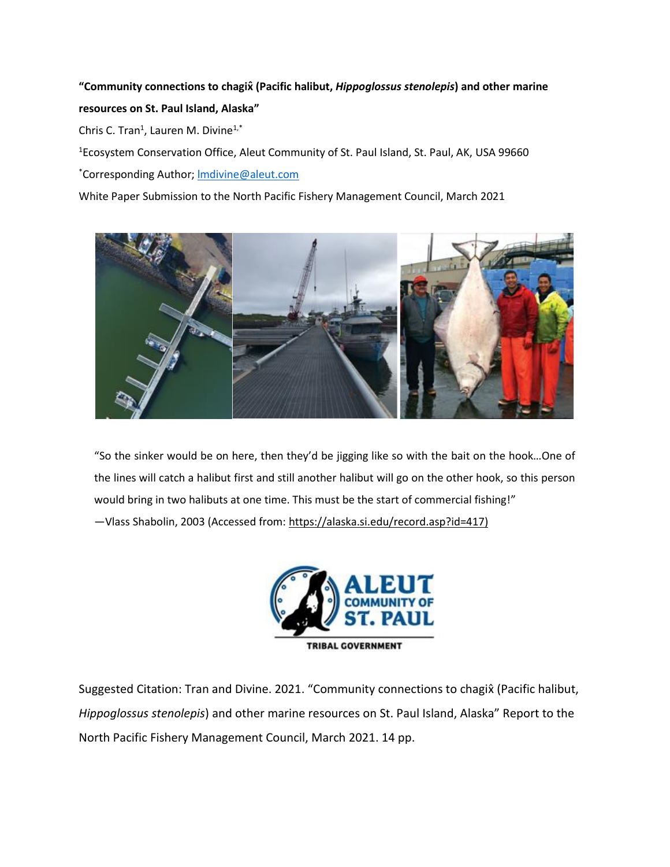# **"Community connections to chagix̂(Pacific halibut,** *Hippoglossus stenolepis***) and other marine resources on St. Paul Island, Alaska"**

Chris C. Tran<sup>1</sup>, Lauren M. Divine<sup>1,\*</sup>

<sup>1</sup>Ecosystem Conservation Office, Aleut Community of St. Paul Island, St. Paul, AK, USA 99660

\*Corresponding Author; [lmdivine@aleut.com](mailto:lmdivine@aleut.com)

White Paper Submission to the North Pacific Fishery Management Council, March 2021



"So the sinker would be on here, then they'd be jigging like so with the bait on the hook…One of the lines will catch a halibut first and still another halibut will go on the other hook, so this person would bring in two halibuts at one time. This must be the start of commercial fishing!" —Vlass Shabolin, 2003 (Accessed from: [https://alaska.si.edu/record.asp?id=417\)](https://alaska.si.edu/record.asp?id=417)



Suggested Citation: Tran and Divine. 2021. "Community connections to chagix̂(Pacific halibut, *Hippoglossus stenolepis*) and other marine resources on St. Paul Island, Alaska" Report to the North Pacific Fishery Management Council, March 2021. 14 pp.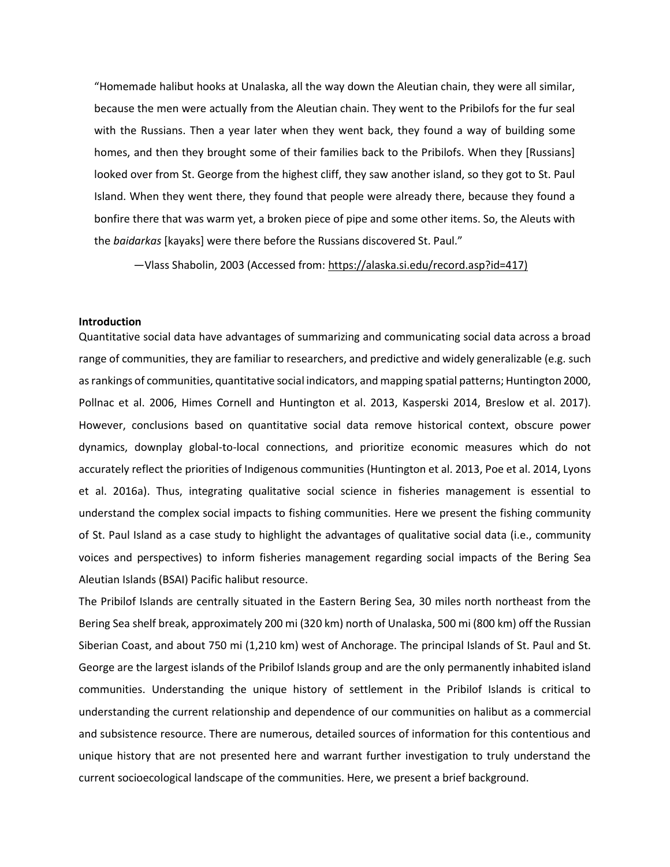"Homemade halibut hooks at Unalaska, all the way down the Aleutian chain, they were all similar, because the men were actually from the Aleutian chain. They went to the Pribilofs for the fur seal with the Russians. Then a year later when they went back, they found a way of building some homes, and then they brought some of their families back to the Pribilofs. When they [Russians] looked over from St. George from the highest cliff, they saw another island, so they got to St. Paul Island. When they went there, they found that people were already there, because they found a bonfire there that was warm yet, a broken piece of pipe and some other items. So, the Aleuts with the *baidarkas* [kayaks] were there before the Russians discovered St. Paul."

—Vlass Shabolin, 2003 (Accessed from: [https://alaska.si.edu/record.asp?id=417\)](https://alaska.si.edu/record.asp?id=417)

## **Introduction**

Quantitative social data have advantages of summarizing and communicating social data across a broad range of communities, they are familiar to researchers, and predictive and widely generalizable (e.g. such as rankings of communities, quantitative social indicators, and mapping spatial patterns; Huntington 2000, Pollnac et al. 2006, Himes Cornell and Huntington et al. 2013, Kasperski 2014, Breslow et al. 2017). However, conclusions based on quantitative social data remove historical context, obscure power dynamics, downplay global-to-local connections, and prioritize economic measures which do not accurately reflect the priorities of Indigenous communities (Huntington et al. 2013, Poe et al. 2014, Lyons et al. 2016a). Thus, integrating qualitative social science in fisheries management is essential to understand the complex social impacts to fishing communities. Here we present the fishing community of St. Paul Island as a case study to highlight the advantages of qualitative social data (i.e., community voices and perspectives) to inform fisheries management regarding social impacts of the Bering Sea Aleutian Islands (BSAI) Pacific halibut resource.

The Pribilof Islands are centrally situated in the Eastern Bering Sea, 30 miles north northeast from the Bering Sea shelf break, approximately 200 mi (320 km) north of Unalaska, 500 mi (800 km) off the Russian Siberian Coast, and about 750 mi (1,210 km) west of Anchorage. The principal Islands of St. Paul and St. George are the largest islands of the Pribilof Islands group and are the only permanently inhabited island communities. Understanding the unique history of settlement in the Pribilof Islands is critical to understanding the current relationship and dependence of our communities on halibut as a commercial and subsistence resource. There are numerous, detailed sources of information for this contentious and unique history that are not presented here and warrant further investigation to truly understand the current socioecological landscape of the communities. Here, we present a brief background.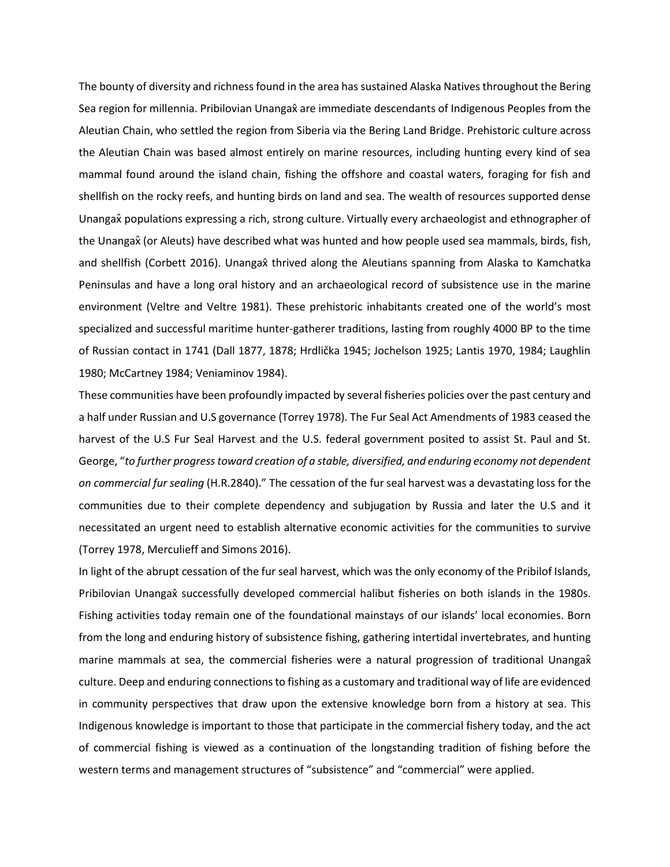The bounty of diversity and richness found in the area has sustained Alaska Natives throughout the Bering Sea region for millennia. Pribilovian Unangax̂ are immediate descendants of Indigenous Peoples from the Aleutian Chain, who settled the region from Siberia via the Bering Land Bridge. Prehistoric culture across the Aleutian Chain was based almost entirely on marine resources, including hunting every kind of sea mammal found around the island chain, fishing the offshore and coastal waters, foraging for fish and shellfish on the rocky reefs, and hunting birds on land and sea. The wealth of resources supported dense Unanga<sub>x</sub> populations expressing a rich, strong culture. Virtually every archaeologist and ethnographer of the Unangax̂ (or Aleuts) have described what was hunted and how people used sea mammals, birds, fish, and shellfish (Corbett 2016). Unangax thrived along the Aleutians spanning from Alaska to Kamchatka Peninsulas and have a long oral history and an archaeological record of subsistence use in the marine environment (Veltre and Veltre 1981). These prehistoric inhabitants created one of the world's most specialized and successful maritime hunter-gatherer traditions, lasting from roughly 4000 BP to the time of Russian contact in 1741 (Dall 1877, 1878; Hrdlička 1945; Jochelson 1925; Lantis 1970, 1984; Laughlin 1980; McCartney 1984; Veniaminov 1984).

These communities have been profoundly impacted by several fisheries policies over the past century and a half under Russian and U.S governance (Torrey 1978). The Fur Seal Act Amendments of 1983 ceased the harvest of the U.S Fur Seal Harvest and the U.S. federal government posited to assist St. Paul and St. George, "*to further progress toward creation of a stable, diversified, and enduring economy not dependent on commercial fur sealing* (H.R.2840)." The cessation of the fur seal harvest was a devastating loss for the communities due to their complete dependency and subjugation by Russia and later the U.S and it necessitated an urgent need to establish alternative economic activities for the communities to survive (Torrey 1978, Merculieff and Simons 2016).

In light of the abrupt cessation of the fur seal harvest, which was the only economy of the Pribilof Islands, Pribilovian Unangax̂ successfully developed commercial halibut fisheries on both islands in the 1980s. Fishing activities today remain one of the foundational mainstays of our islands' local economies. Born from the long and enduring history of subsistence fishing, gathering intertidal invertebrates, and hunting marine mammals at sea, the commercial fisheries were a natural progression of traditional Unangax̂ culture. Deep and enduring connections to fishing as a customary and traditional way of life are evidenced in community perspectives that draw upon the extensive knowledge born from a history at sea. This Indigenous knowledge is important to those that participate in the commercial fishery today, and the act of commercial fishing is viewed as a continuation of the longstanding tradition of fishing before the western terms and management structures of "subsistence" and "commercial" were applied.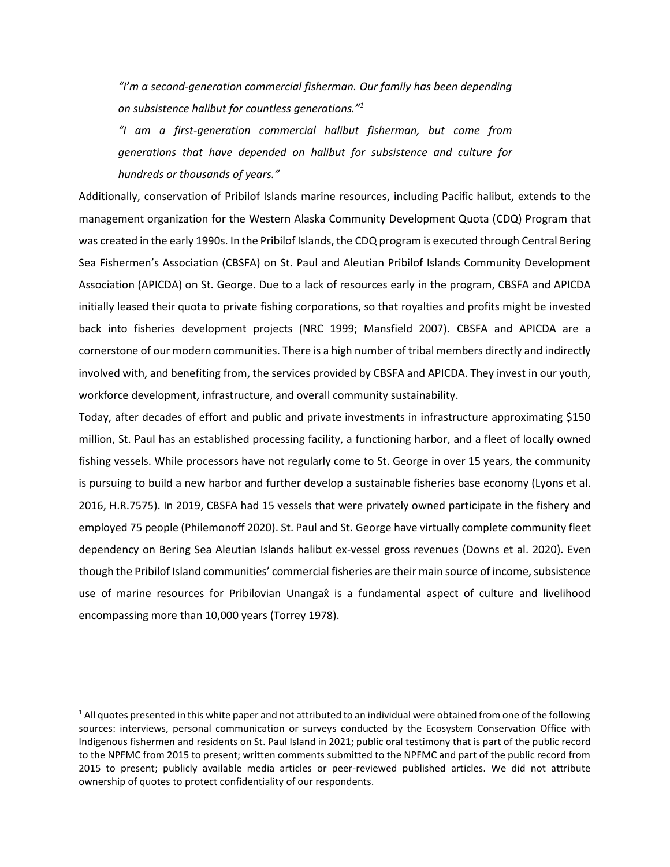*"I'm a second-generation commercial fisherman. Our family has been depending on subsistence halibut for countless generations."<sup>1</sup>*

*"I am a first-generation commercial halibut fisherman, but come from generations that have depended on halibut for subsistence and culture for hundreds or thousands of years."*

Additionally, conservation of Pribilof Islands marine resources, including Pacific halibut, extends to the management organization for the Western Alaska Community Development Quota (CDQ) Program that was created in the early 1990s. In the Pribilof Islands, the CDQ program is executed through Central Bering Sea Fishermen's Association (CBSFA) on St. Paul and Aleutian Pribilof Islands Community Development Association (APICDA) on St. George. Due to a lack of resources early in the program, CBSFA and APICDA initially leased their quota to private fishing corporations, so that royalties and profits might be invested back into fisheries development projects (NRC 1999; Mansfield 2007). CBSFA and APICDA are a cornerstone of our modern communities. There is a high number of tribal members directly and indirectly involved with, and benefiting from, the services provided by CBSFA and APICDA. They invest in our youth, workforce development, infrastructure, and overall community sustainability.

Today, after decades of effort and public and private investments in infrastructure approximating \$150 million, St. Paul has an established processing facility, a functioning harbor, and a fleet of locally owned fishing vessels. While processors have not regularly come to St. George in over 15 years, the community is pursuing to build a new harbor and further develop a sustainable fisheries base economy (Lyons et al. 2016, H.R.7575). In 2019, CBSFA had 15 vessels that were privately owned participate in the fishery and employed 75 people (Philemonoff 2020). St. Paul and St. George have virtually complete community fleet dependency on Bering Sea Aleutian Islands halibut ex-vessel gross revenues (Downs et al. 2020). Even though the Pribilof Island communities' commercial fisheries are their main source of income, subsistence use of marine resources for Pribilovian Unangax̂ is a fundamental aspect of culture and livelihood encompassing more than 10,000 years (Torrey 1978).

<sup>&</sup>lt;sup>1</sup> All quotes presented in this white paper and not attributed to an individual were obtained from one of the following sources: interviews, personal communication or surveys conducted by the Ecosystem Conservation Office with Indigenous fishermen and residents on St. Paul Island in 2021; public oral testimony that is part of the public record to the NPFMC from 2015 to present; written comments submitted to the NPFMC and part of the public record from 2015 to present; publicly available media articles or peer-reviewed published articles. We did not attribute ownership of quotes to protect confidentiality of our respondents.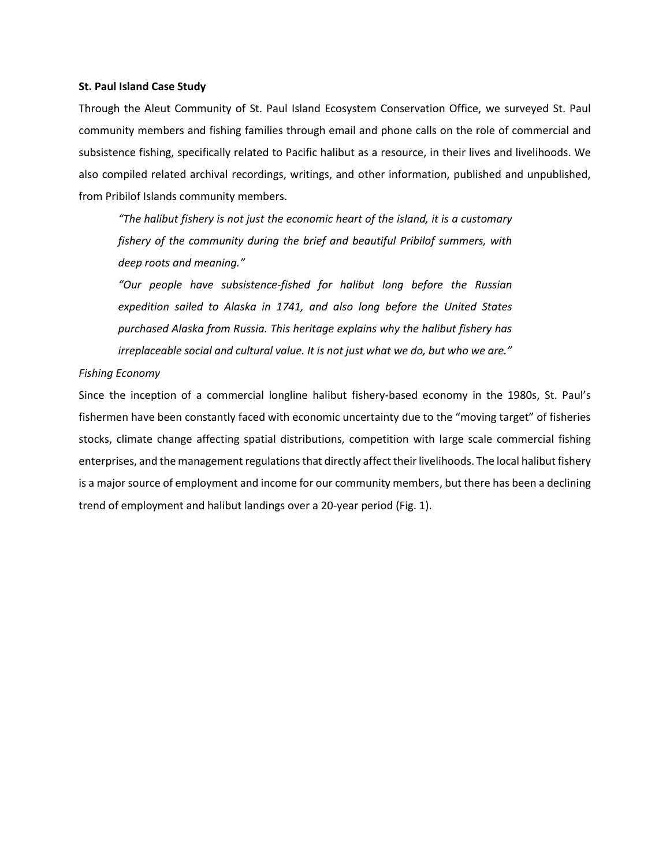#### **St. Paul Island Case Study**

Through the Aleut Community of St. Paul Island Ecosystem Conservation Office, we surveyed St. Paul community members and fishing families through email and phone calls on the role of commercial and subsistence fishing, specifically related to Pacific halibut as a resource, in their lives and livelihoods. We also compiled related archival recordings, writings, and other information, published and unpublished, from Pribilof Islands community members.

*"The halibut fishery is not just the economic heart of the island, it is a customary fishery of the community during the brief and beautiful Pribilof summers, with deep roots and meaning."*

*"Our people have subsistence-fished for halibut long before the Russian expedition sailed to Alaska in 1741, and also long before the United States purchased Alaska from Russia. This heritage explains why the halibut fishery has irreplaceable social and cultural value. It is not just what we do, but who we are."*

## *Fishing Economy*

Since the inception of a commercial longline halibut fishery-based economy in the 1980s, St. Paul's fishermen have been constantly faced with economic uncertainty due to the "moving target" of fisheries stocks, climate change affecting spatial distributions, competition with large scale commercial fishing enterprises, and the management regulations that directly affect their livelihoods. The local halibut fishery is a major source of employment and income for our community members, but there has been a declining trend of employment and halibut landings over a 20-year period (Fig. 1).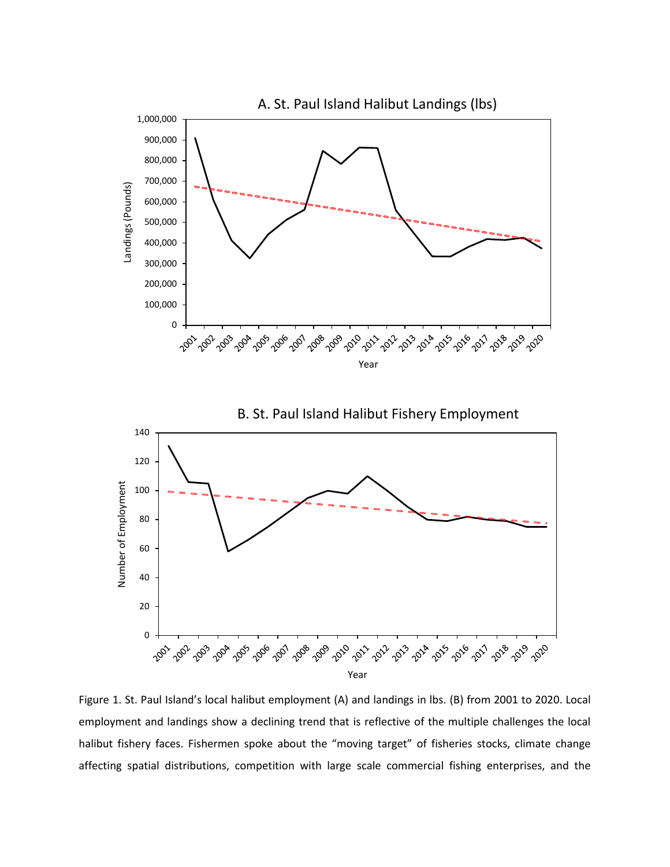

Figure 1. St. Paul Island's local halibut employment (A) and landings in lbs. (B) from 2001 to 2020. Local employment and landings show a declining trend that is reflective of the multiple challenges the local halibut fishery faces. Fishermen spoke about the "moving target" of fisheries stocks, climate change affecting spatial distributions, competition with large scale commercial fishing enterprises, and the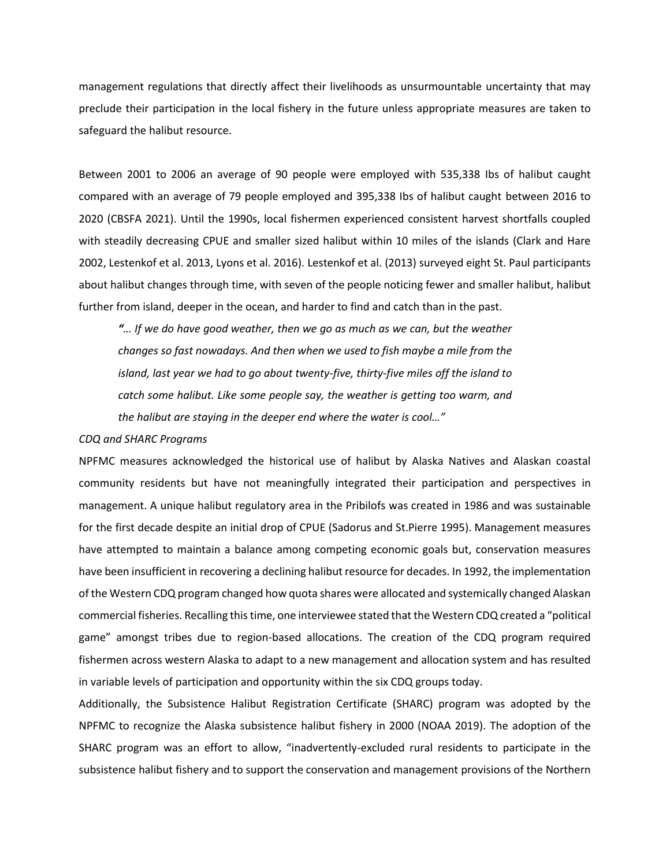management regulations that directly affect their livelihoods as unsurmountable uncertainty that may preclude their participation in the local fishery in the future unless appropriate measures are taken to safeguard the halibut resource.

Between 2001 to 2006 an average of 90 people were employed with 535,338 Ibs of halibut caught compared with an average of 79 people employed and 395,338 Ibs of halibut caught between 2016 to 2020 (CBSFA 2021). Until the 1990s, local fishermen experienced consistent harvest shortfalls coupled with steadily decreasing CPUE and smaller sized halibut within 10 miles of the islands (Clark and Hare 2002, Lestenkof et al. 2013, Lyons et al. 2016). Lestenkof et al. (2013) surveyed eight St. Paul participants about halibut changes through time, with seven of the people noticing fewer and smaller halibut, halibut further from island, deeper in the ocean, and harder to find and catch than in the past.

*"… If we do have good weather, then we go as much as we can, but the weather changes so fast nowadays. And then when we used to fish maybe a mile from the island, last year we had to go about twenty-five, thirty-five miles off the island to catch some halibut. Like some people say, the weather is getting too warm, and the halibut are staying in the deeper end where the water is cool…"*

## *CDQ and SHARC Programs*

NPFMC measures acknowledged the historical use of halibut by Alaska Natives and Alaskan coastal community residents but have not meaningfully integrated their participation and perspectives in management. A unique halibut regulatory area in the Pribilofs was created in 1986 and was sustainable for the first decade despite an initial drop of CPUE (Sadorus and St.Pierre 1995). Management measures have attempted to maintain a balance among competing economic goals but, conservation measures have been insufficient in recovering a declining halibut resource for decades. In 1992, the implementation of the Western CDQ program changed how quota shares were allocated and systemically changed Alaskan commercial fisheries. Recalling this time, one interviewee stated that the Western CDQ created a "political game" amongst tribes due to region-based allocations. The creation of the CDQ program required fishermen across western Alaska to adapt to a new management and allocation system and has resulted in variable levels of participation and opportunity within the six CDQ groups today.

Additionally, the Subsistence Halibut Registration Certificate (SHARC) program was adopted by the NPFMC to recognize the Alaska subsistence halibut fishery in 2000 (NOAA 2019). The adoption of the SHARC program was an effort to allow, "inadvertently-excluded rural residents to participate in the subsistence halibut fishery and to support the conservation and management provisions of the Northern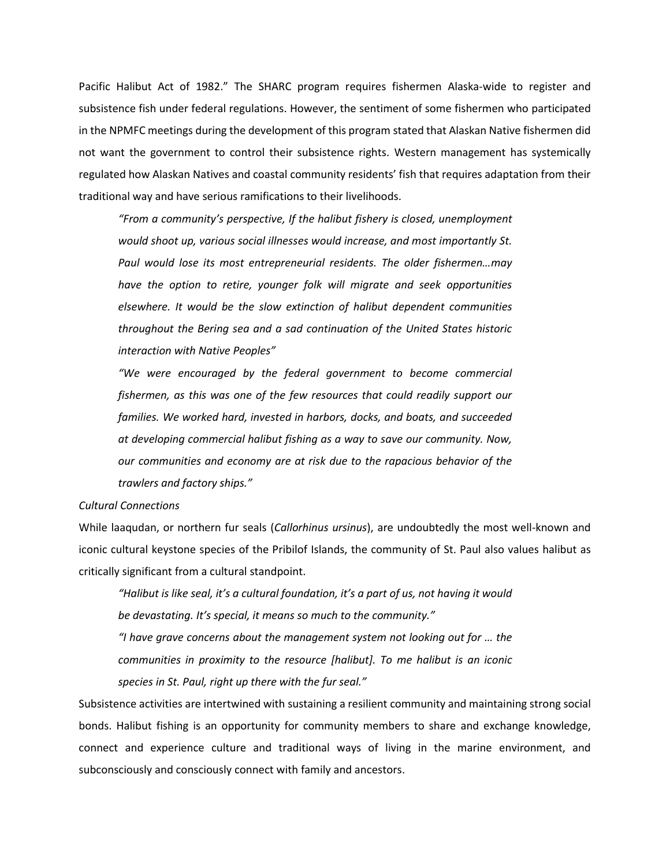Pacific Halibut Act of 1982." The SHARC program requires fishermen Alaska-wide to register and subsistence fish under federal regulations. However, the sentiment of some fishermen who participated in the NPMFC meetings during the development of this program stated that Alaskan Native fishermen did not want the government to control their subsistence rights. Western management has systemically regulated how Alaskan Natives and coastal community residents' fish that requires adaptation from their traditional way and have serious ramifications to their livelihoods.

*"From a community's perspective, If the halibut fishery is closed, unemployment would shoot up, various social illnesses would increase, and most importantly St. Paul would lose its most entrepreneurial residents. The older fishermen…may have the option to retire, younger folk will migrate and seek opportunities elsewhere. It would be the slow extinction of halibut dependent communities throughout the Bering sea and a sad continuation of the United States historic interaction with Native Peoples"* 

*"We were encouraged by the federal government to become commercial fishermen, as this was one of the few resources that could readily support our families. We worked hard, invested in harbors, docks, and boats, and succeeded at developing commercial halibut fishing as a way to save our community. Now, our communities and economy are at risk due to the rapacious behavior of the trawlers and factory ships."*

## *Cultural Connections*

While laaqudan, or northern fur seals (*Callorhinus ursinus*), are undoubtedly the most well-known and iconic cultural keystone species of the Pribilof Islands, the community of St. Paul also values halibut as critically significant from a cultural standpoint.

*"Halibut is like seal, it's a cultural foundation, it's a part of us, not having it would be devastating. It's special, it means so much to the community." "I have grave concerns about the management system not looking out for … the communities in proximity to the resource [halibut]. To me halibut is an iconic species in St. Paul, right up there with the fur seal."*

Subsistence activities are intertwined with sustaining a resilient community and maintaining strong social bonds. Halibut fishing is an opportunity for community members to share and exchange knowledge, connect and experience culture and traditional ways of living in the marine environment, and subconsciously and consciously connect with family and ancestors.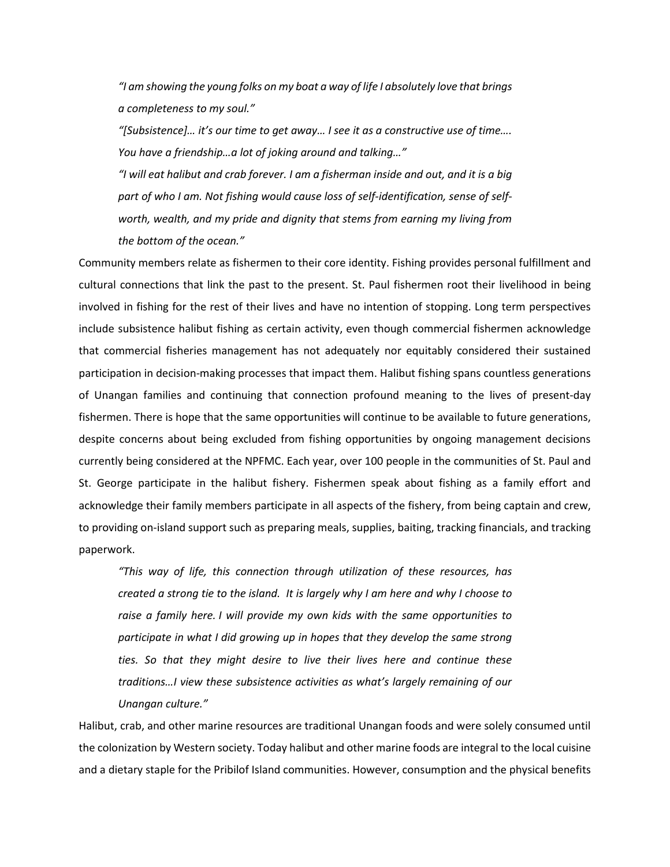*"I am showing the young folks on my boat a way of life I absolutely love that brings a completeness to my soul."* 

*"[Subsistence]… it's our time to get away… I see it as a constructive use of time…. You have a friendship…a lot of joking around and talking…"* 

*"I will eat halibut and crab forever. I am a fisherman inside and out, and it is a big part of who I am. Not fishing would cause loss of self-identification, sense of selfworth, wealth, and my pride and dignity that stems from earning my living from the bottom of the ocean."*

Community members relate as fishermen to their core identity. Fishing provides personal fulfillment and cultural connections that link the past to the present. St. Paul fishermen root their livelihood in being involved in fishing for the rest of their lives and have no intention of stopping. Long term perspectives include subsistence halibut fishing as certain activity, even though commercial fishermen acknowledge that commercial fisheries management has not adequately nor equitably considered their sustained participation in decision-making processes that impact them. Halibut fishing spans countless generations of Unangan families and continuing that connection profound meaning to the lives of present-day fishermen. There is hope that the same opportunities will continue to be available to future generations, despite concerns about being excluded from fishing opportunities by ongoing management decisions currently being considered at the NPFMC. Each year, over 100 people in the communities of St. Paul and St. George participate in the halibut fishery. Fishermen speak about fishing as a family effort and acknowledge their family members participate in all aspects of the fishery, from being captain and crew, to providing on-island support such as preparing meals, supplies, baiting, tracking financials, and tracking paperwork.

*"This way of life, this connection through utilization of these resources, has created a strong tie to the island. It is largely why I am here and why I choose to raise a family here. I will provide my own kids with the same opportunities to participate in what I did growing up in hopes that they develop the same strong ties. So that they might desire to live their lives here and continue these traditions…I view these subsistence activities as what's largely remaining of our Unangan culture."*

Halibut, crab, and other marine resources are traditional Unangan foods and were solely consumed until the colonization by Western society. Today halibut and other marine foods are integral to the local cuisine and a dietary staple for the Pribilof Island communities. However, consumption and the physical benefits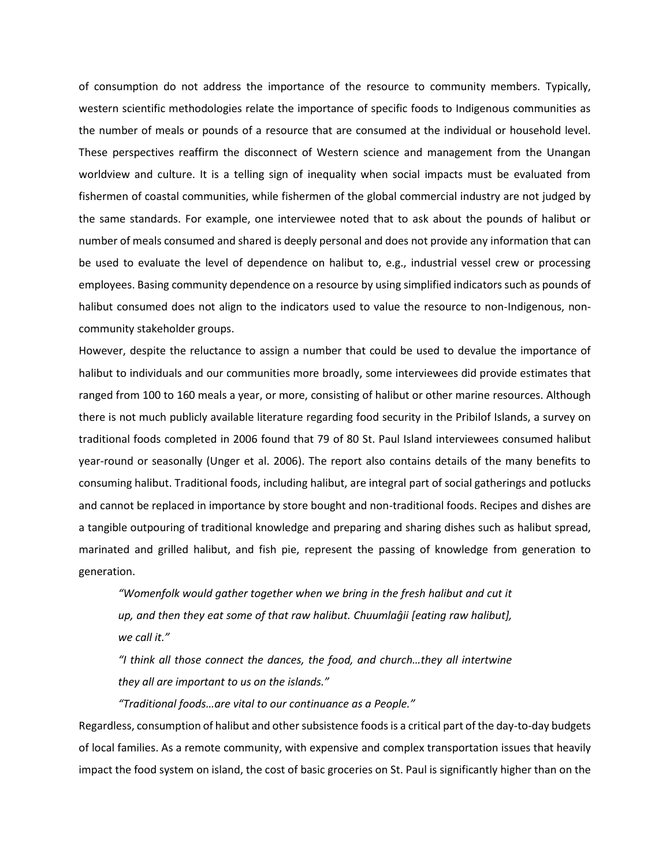of consumption do not address the importance of the resource to community members. Typically, western scientific methodologies relate the importance of specific foods to Indigenous communities as the number of meals or pounds of a resource that are consumed at the individual or household level. These perspectives reaffirm the disconnect of Western science and management from the Unangan worldview and culture. It is a telling sign of inequality when social impacts must be evaluated from fishermen of coastal communities, while fishermen of the global commercial industry are not judged by the same standards. For example, one interviewee noted that to ask about the pounds of halibut or number of meals consumed and shared is deeply personal and does not provide any information that can be used to evaluate the level of dependence on halibut to, e.g., industrial vessel crew or processing employees. Basing community dependence on a resource by using simplified indicators such as pounds of halibut consumed does not align to the indicators used to value the resource to non-Indigenous, noncommunity stakeholder groups.

However, despite the reluctance to assign a number that could be used to devalue the importance of halibut to individuals and our communities more broadly, some interviewees did provide estimates that ranged from 100 to 160 meals a year, or more, consisting of halibut or other marine resources. Although there is not much publicly available literature regarding food security in the Pribilof Islands, a survey on traditional foods completed in 2006 found that 79 of 80 St. Paul Island interviewees consumed halibut year-round or seasonally (Unger et al. 2006). The report also contains details of the many benefits to consuming halibut. Traditional foods, including halibut, are integral part of social gatherings and potlucks and cannot be replaced in importance by store bought and non-traditional foods. Recipes and dishes are a tangible outpouring of traditional knowledge and preparing and sharing dishes such as halibut spread, marinated and grilled halibut, and fish pie, represent the passing of knowledge from generation to generation.

*"Womenfolk would gather together when we bring in the fresh halibut and cut it up, and then they eat some of that raw halibut. Chuumlaĝii [eating raw halibut], we call it."*

*"I think all those connect the dances, the food, and church…they all intertwine they all are important to us on the islands."*

*"Traditional foods…are vital to our continuance as a People."*

Regardless, consumption of halibut and other subsistence foods is a critical part of the day-to-day budgets of local families. As a remote community, with expensive and complex transportation issues that heavily impact the food system on island, the cost of basic groceries on St. Paul is significantly higher than on the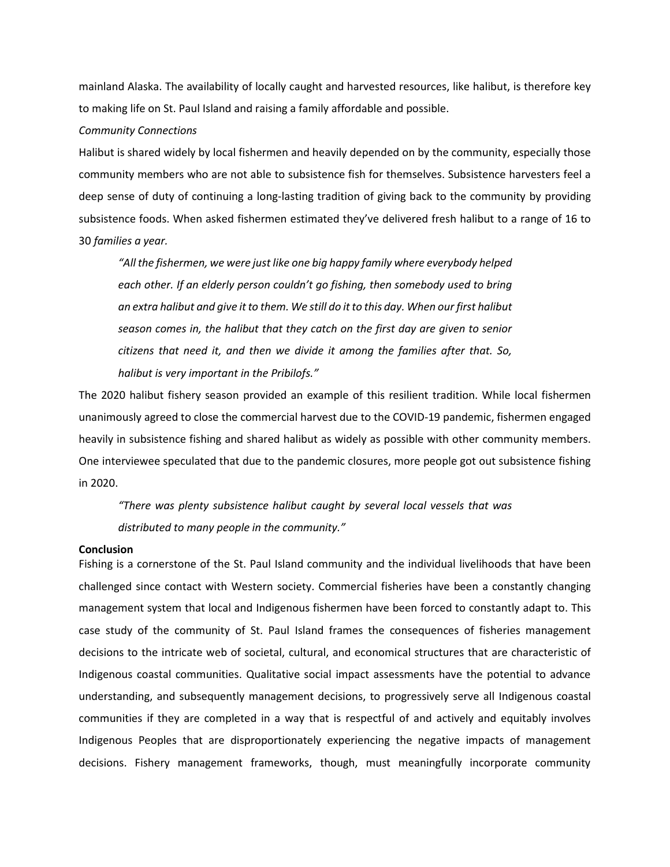mainland Alaska. The availability of locally caught and harvested resources, like halibut, is therefore key to making life on St. Paul Island and raising a family affordable and possible.

#### *Community Connections*

Halibut is shared widely by local fishermen and heavily depended on by the community, especially those community members who are not able to subsistence fish for themselves. Subsistence harvesters feel a deep sense of duty of continuing a long-lasting tradition of giving back to the community by providing subsistence foods. When asked fishermen estimated they've delivered fresh halibut to a range of 16 to 30 *families a year.*

*"All the fishermen, we were just like one big happy family where everybody helped each other. If an elderly person couldn't go fishing, then somebody used to bring an extra halibut and give it to them. We still do it to this day. When our first halibut season comes in, the halibut that they catch on the first day are given to senior citizens that need it, and then we divide it among the families after that. So, halibut is very important in the Pribilofs."*

The 2020 halibut fishery season provided an example of this resilient tradition. While local fishermen unanimously agreed to close the commercial harvest due to the COVID-19 pandemic, fishermen engaged heavily in subsistence fishing and shared halibut as widely as possible with other community members. One interviewee speculated that due to the pandemic closures, more people got out subsistence fishing in 2020.

*"There was plenty subsistence halibut caught by several local vessels that was distributed to many people in the community."*

#### **Conclusion**

Fishing is a cornerstone of the St. Paul Island community and the individual livelihoods that have been challenged since contact with Western society. Commercial fisheries have been a constantly changing management system that local and Indigenous fishermen have been forced to constantly adapt to. This case study of the community of St. Paul Island frames the consequences of fisheries management decisions to the intricate web of societal, cultural, and economical structures that are characteristic of Indigenous coastal communities. Qualitative social impact assessments have the potential to advance understanding, and subsequently management decisions, to progressively serve all Indigenous coastal communities if they are completed in a way that is respectful of and actively and equitably involves Indigenous Peoples that are disproportionately experiencing the negative impacts of management decisions. Fishery management frameworks, though, must meaningfully incorporate community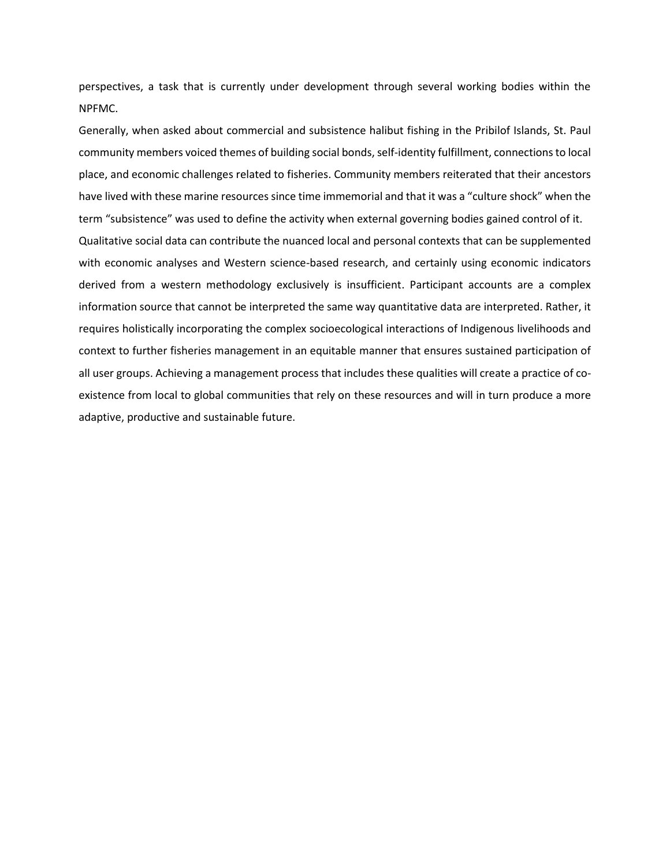perspectives, a task that is currently under development through several working bodies within the NPFMC.

Generally, when asked about commercial and subsistence halibut fishing in the Pribilof Islands, St. Paul community members voiced themes of building social bonds, self-identity fulfillment, connections to local place, and economic challenges related to fisheries. Community members reiterated that their ancestors have lived with these marine resources since time immemorial and that it was a "culture shock" when the term "subsistence" was used to define the activity when external governing bodies gained control of it. Qualitative social data can contribute the nuanced local and personal contexts that can be supplemented with economic analyses and Western science-based research, and certainly using economic indicators derived from a western methodology exclusively is insufficient. Participant accounts are a complex information source that cannot be interpreted the same way quantitative data are interpreted. Rather, it requires holistically incorporating the complex socioecological interactions of Indigenous livelihoods and context to further fisheries management in an equitable manner that ensures sustained participation of all user groups. Achieving a management process that includes these qualities will create a practice of coexistence from local to global communities that rely on these resources and will in turn produce a more adaptive, productive and sustainable future.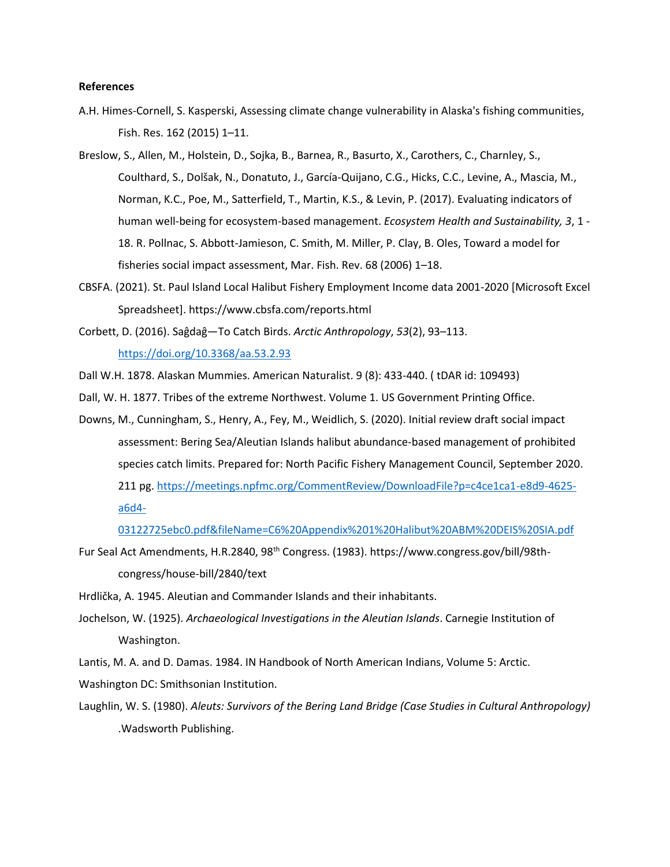#### **References**

- A.H. Himes-Cornell, S. Kasperski, Assessing climate change vulnerability in Alaska's fishing communities, Fish. Res. 162 (2015) 1–11.
- Breslow, S., Allen, M., Holstein, D., Sojka, B., Barnea, R., Basurto, X., Carothers, C., Charnley, S., Coulthard, S., Dolšak, N., Donatuto, J., García-Quijano, C.G., Hicks, C.C., Levine, A., Mascia, M., Norman, K.C., Poe, M., Satterfield, T., Martin, K.S., & Levin, P. (2017). Evaluating indicators of human well-being for ecosystem-based management. *Ecosystem Health and Sustainability, 3*, 1 - 18. R. Pollnac, S. Abbott-Jamieson, C. Smith, M. Miller, P. Clay, B. Oles, Toward a model for fisheries social impact assessment, Mar. Fish. Rev. 68 (2006) 1–18.
- CBSFA. (2021). St. Paul Island Local Halibut Fishery Employment Income data 2001-2020 [Microsoft Excel Spreadsheet]. https://www.cbsfa.com/reports.html
- Corbett, D. (2016). Saĝdaĝ—To Catch Birds. *Arctic Anthropology*, *53*(2), 93–113. <https://doi.org/10.3368/aa.53.2.93>
- Dall W.H. 1878. Alaskan Mummies. American Naturalist. 9 (8): 433-440. ( tDAR id: 109493)
- Dall, W. H. 1877. Tribes of the extreme Northwest. Volume 1. US Government Printing Office.
- Downs, M., Cunningham, S., Henry, A., Fey, M., Weidlich, S. (2020). Initial review draft social impact assessment: Bering Sea/Aleutian Islands halibut abundance-based management of prohibited species catch limits. Prepared for: North Pacific Fishery Management Council, September 2020. 211 pg[. https://meetings.npfmc.org/CommentReview/DownloadFile?p=c4ce1ca1-e8d9-4625](https://meetings.npfmc.org/CommentReview/DownloadFile?p=c4ce1ca1-e8d9-4625-a6d4-03122725ebc0.pdf&fileName=C6%20Appendix%201%20Halibut%20ABM%20DEIS%20SIA.pdf) [a6d4-](https://meetings.npfmc.org/CommentReview/DownloadFile?p=c4ce1ca1-e8d9-4625-a6d4-03122725ebc0.pdf&fileName=C6%20Appendix%201%20Halibut%20ABM%20DEIS%20SIA.pdf)
	- [03122725ebc0.pdf&fileName=C6%20Appendix%201%20Halibut%20ABM%20DEIS%20SIA.pdf](https://meetings.npfmc.org/CommentReview/DownloadFile?p=c4ce1ca1-e8d9-4625-a6d4-03122725ebc0.pdf&fileName=C6%20Appendix%201%20Halibut%20ABM%20DEIS%20SIA.pdf)
- Fur Seal Act Amendments, H.R.2840, 98th Congress. (1983). https://www.congress.gov/bill/98thcongress/house-bill/2840/text

Hrdlička, A. 1945. Aleutian and Commander Islands and their inhabitants.

Jochelson, W. (1925). *Archaeological Investigations in the Aleutian Islands*. Carnegie Institution of Washington.

Lantis, M. A. and D. Damas. 1984. IN Handbook of North American Indians, Volume 5: Arctic. Washington DC: Smithsonian Institution.

Laughlin, W. S. (1980). *Aleuts: Survivors of the Bering Land Bridge (Case Studies in Cultural Anthropology)* .Wadsworth Publishing.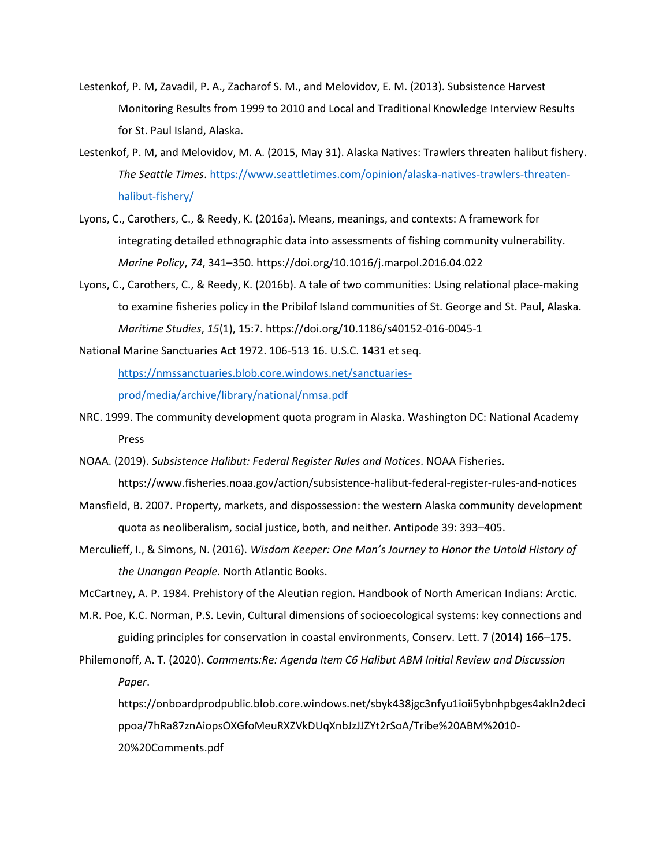- Lestenkof, P. M, Zavadil, P. A., Zacharof S. M., and Melovidov, E. M. (2013). Subsistence Harvest Monitoring Results from 1999 to 2010 and Local and Traditional Knowledge Interview Results for St. Paul Island, Alaska.
- Lestenkof, P. M, and Melovidov, M. A. (2015, May 31). Alaska Natives: Trawlers threaten halibut fishery. *The Seattle Times*[. https://www.seattletimes.com/opinion/alaska-natives-trawlers-threaten](https://www.seattletimes.com/opinion/alaska-natives-trawlers-threaten-halibut-fishery/)[halibut-fishery/](https://www.seattletimes.com/opinion/alaska-natives-trawlers-threaten-halibut-fishery/)
- Lyons, C., Carothers, C., & Reedy, K. (2016a). Means, meanings, and contexts: A framework for integrating detailed ethnographic data into assessments of fishing community vulnerability. *Marine Policy*, *74*, 341–350. https://doi.org/10.1016/j.marpol.2016.04.022
- Lyons, C., Carothers, C., & Reedy, K. (2016b). A tale of two communities: Using relational place-making to examine fisheries policy in the Pribilof Island communities of St. George and St. Paul, Alaska. *Maritime Studies*, *15*(1), 15:7. https://doi.org/10.1186/s40152-016-0045-1

National Marine Sanctuaries Act 1972. 106-513 16. U.S.C. 1431 et seq.

[https://nmssanctuaries.blob.core.windows.net/sanctuaries-](https://nmssanctuaries.blob.core.windows.net/sanctuaries-prod/media/archive/library/national/nmsa.pdf)

[prod/media/archive/library/national/nmsa.pdf](https://nmssanctuaries.blob.core.windows.net/sanctuaries-prod/media/archive/library/national/nmsa.pdf)

- NRC. 1999. The community development quota program in Alaska. Washington DC: National Academy Press
- NOAA. (2019). *Subsistence Halibut: Federal Register Rules and Notices*. NOAA Fisheries. https://www.fisheries.noaa.gov/action/subsistence-halibut-federal-register-rules-and-notices
- Mansfield, B. 2007. Property, markets, and dispossession: the western Alaska community development quota as neoliberalism, social justice, both, and neither. Antipode 39: 393–405.
- Merculieff, I., & Simons, N. (2016). *Wisdom Keeper: One Man's Journey to Honor the Untold History of the Unangan People*. North Atlantic Books.

McCartney, A. P. 1984. Prehistory of the Aleutian region. Handbook of North American Indians: Arctic.

- M.R. Poe, K.C. Norman, P.S. Levin, Cultural dimensions of socioecological systems: key connections and guiding principles for conservation in coastal environments, Conserv. Lett. 7 (2014) 166–175.
- Philemonoff, A. T. (2020). *Comments:Re: Agenda Item C6 Halibut ABM Initial Review and Discussion Paper*.

https://onboardprodpublic.blob.core.windows.net/sbyk438jgc3nfyu1ioii5ybnhpbges4akln2deci ppoa/7hRa87znAiopsOXGfoMeuRXZVkDUqXnbJzJJZYt2rSoA/Tribe%20ABM%2010- 20%20Comments.pdf